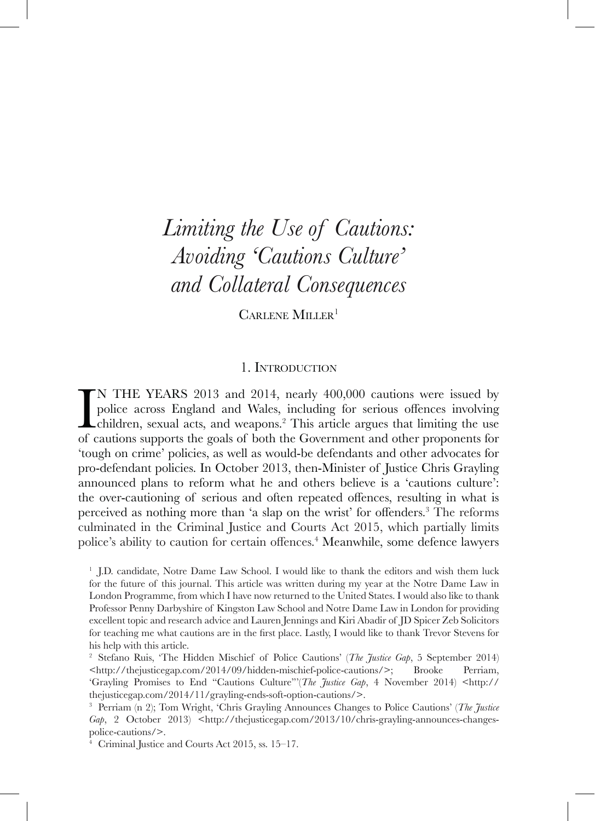# *Limiting the Use of Cautions: Avoiding 'Cautions Culture' and Collateral Consequences*

CARLENE MILLER<sup>1</sup>

# 1. Introduction

I<br>of o N THE YEARS 2013 and 2014, nearly 400,000 cautions were issued by police across England and Wales, including for serious offences involving children, sexual acts, and weapons.2 This article argues that limiting the use of cautions supports the goals of both the Government and other proponents for 'tough on crime' policies, as well as would-be defendants and other advocates for pro-defendant policies. In October 2013, then-Minister of Justice Chris Grayling announced plans to reform what he and others believe is a 'cautions culture': the over-cautioning of serious and often repeated offences, resulting in what is perceived as nothing more than 'a slap on the wrist' for offenders. 3 The reforms culminated in the Criminal Justice and Courts Act 2015, which partially limits police's ability to caution for certain offences.<sup>4</sup> Meanwhile, some defence lawyers

<sup>1</sup> J.D. candidate, Notre Dame Law School. I would like to thank the editors and wish them luck for the future of this journal. This article was written during my year at the Notre Dame Law in London Programme, from which I have now returned to the United States. I would also like to thank Professor Penny Darbyshire of Kingston Law School and Notre Dame Law in London for providing excellent topic and research advice and Lauren Jennings and Kiri Abadir of JD Spicer Zeb Solicitors for teaching me what cautions are in the first place. Lastly, I would like to thank Trevor Stevens for his help with this article.

<sup>2</sup> Stefano Ruis, 'The Hidden Mischief of Police Cautions' (*The Justice Gap*, 5 September 2014) <http://thejusticegap.com/2014/09/hidden-mischief-police-cautions/>; Brooke Perriam, 'Grayling Promises to End "Cautions Culture"'(*The Justice Gap*, 4 November 2014) <http:// thejusticegap.com/2014/11/grayling-ends-soft-option-cautions/>.

<sup>3</sup> Perriam (n 2); Tom Wright, 'Chris Grayling Announces Changes to Police Cautions' (*The Justice Gap*, 2 October 2013) <http://thejusticegap.com/2013/10/chris-grayling-announces-changespolice-cautions/>.

<sup>4</sup> Criminal Justice and Courts Act 2015, ss. 15–17.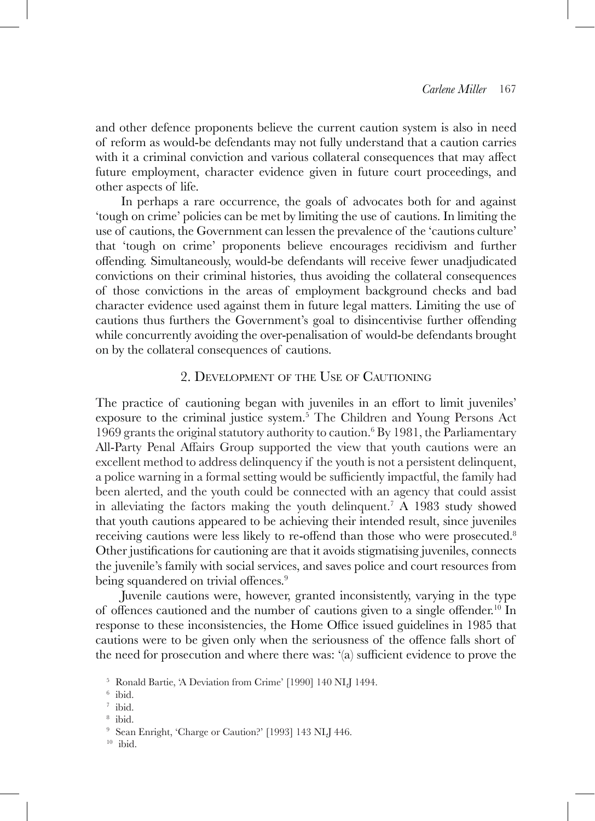and other defence proponents believe the current caution system is also in need of reform as would-be defendants may not fully understand that a caution carries with it a criminal conviction and various collateral consequences that may affect future employment, character evidence given in future court proceedings, and other aspects of life.

In perhaps a rare occurrence, the goals of advocates both for and against 'tough on crime' policies can be met by limiting the use of cautions. In limiting the use of cautions, the Government can lessen the prevalence of the 'cautions culture' that 'tough on crime' proponents believe encourages recidivism and further offending. Simultaneously, would-be defendants will receive fewer unadjudicated convictions on their criminal histories, thus avoiding the collateral consequences of those convictions in the areas of employment background checks and bad character evidence used against them in future legal matters. Limiting the use of cautions thus furthers the Government's goal to disincentivise further offending while concurrently avoiding the over-penalisation of would-be defendants brought on by the collateral consequences of cautions.

## 2. Development of the Use of Cautioning

The practice of cautioning began with juveniles in an effort to limit juveniles' exposure to the criminal justice system.5 The Children and Young Persons Act 1969 grants the original statutory authority to caution.6 By 1981, the Parliamentary All-Party Penal Affairs Group supported the view that youth cautions were an excellent method to address delinquency if the youth is not a persistent delinquent, a police warning in a formal setting would be sufficiently impactful, the family had been alerted, and the youth could be connected with an agency that could assist in alleviating the factors making the youth delinquent.<sup>7</sup> A 1983 study showed that youth cautions appeared to be achieving their intended result, since juveniles receiving cautions were less likely to re-offend than those who were prosecuted.<sup>8</sup> Other justifications for cautioning are that it avoids stigmatising juveniles, connects the juvenile's family with social services, and saves police and court resources from being squandered on trivial offences.<sup>9</sup>

Juvenile cautions were, however, granted inconsistently, varying in the type of offences cautioned and the number of cautions given to a single offender.10 In response to these inconsistencies, the Home Office issued guidelines in 1985 that cautions were to be given only when the seriousness of the offence falls short of the need for prosecution and where there was: '(a) sufficient evidence to prove the

<sup>8</sup> ibid.

<sup>5</sup> Ronald Bartie, 'A Deviation from Crime' [1990] 140 NLJ 1494.

 $6$  ibid.

<sup>7</sup> ibid.

<sup>9</sup> Sean Enright, 'Charge or Caution?' [1993] 143 NLJ 446.

 $10$  ibid.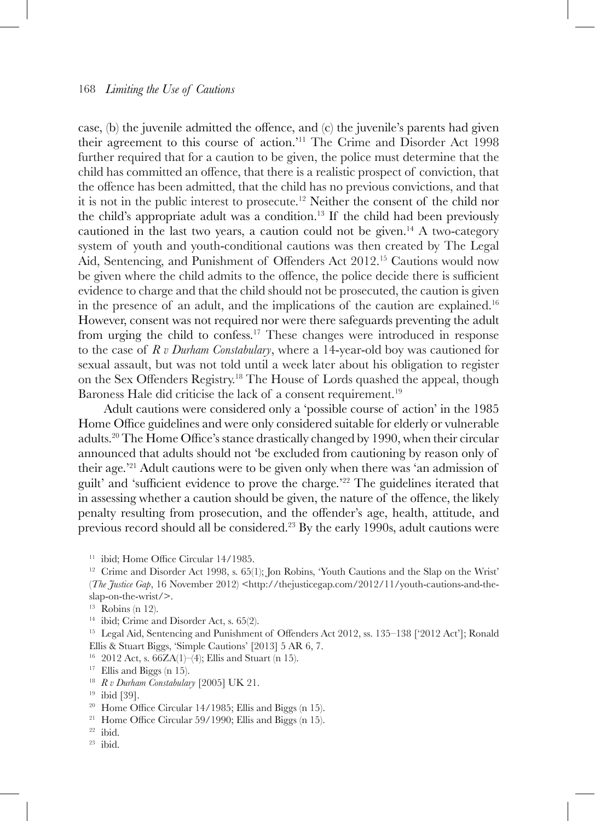case, (b) the juvenile admitted the offence, and (c) the juvenile's parents had given their agreement to this course of action.'11 The Crime and Disorder Act 1998 further required that for a caution to be given, the police must determine that the child has committed an offence, that there is a realistic prospect of conviction, that the offence has been admitted, that the child has no previous convictions, and that it is not in the public interest to prosecute.<sup>12</sup> Neither the consent of the child nor the child's appropriate adult was a condition.13 If the child had been previously cautioned in the last two years, a caution could not be given.<sup>14</sup> A two-category system of youth and youth-conditional cautions was then created by The Legal Aid, Sentencing, and Punishment of Offenders Act 2012.15 Cautions would now be given where the child admits to the offence, the police decide there is sufficient evidence to charge and that the child should not be prosecuted, the caution is given in the presence of an adult, and the implications of the caution are explained.<sup>16</sup> However, consent was not required nor were there safeguards preventing the adult from urging the child to confess.17 These changes were introduced in response to the case of *R v Durham Constabulary*, where a 14-year-old boy was cautioned for sexual assault, but was not told until a week later about his obligation to register on the Sex Offenders Registry.<sup>18</sup> The House of Lords quashed the appeal, though Baroness Hale did criticise the lack of a consent requirement.<sup>19</sup>

Adult cautions were considered only a 'possible course of action' in the 1985 Home Office guidelines and were only considered suitable for elderly or vulnerable adults.20 The Home Office's stance drastically changed by 1990, when their circular announced that adults should not 'be excluded from cautioning by reason only of their age.'21 Adult cautions were to be given only when there was 'an admission of guilt' and 'sufficient evidence to prove the charge.'22 The guidelines iterated that in assessing whether a caution should be given, the nature of the offence, the likely penalty resulting from prosecution, and the offender's age, health, attitude, and previous record should all be considered.23 By the early 1990s, adult cautions were

<sup>14</sup> ibid; Crime and Disorder Act, s. 65(2).<br><sup>15</sup> Legal Aid, Sentencing and Punishment of Offenders Act 2012, ss. 135–138 ['2012 Act']; Ronald Ellis & Stuart Biggs, 'Simple Cautions' [2013] 5 AR 6, 7.

<sup>16</sup> 2012 Act, s.  $66ZA(1)-(4)$ ; Ellis and Stuart (n 15).

<sup>17</sup> Ellis and Biggs (n 15).<br><sup>18</sup>  $R \, v$  Durham Constabulary [2005] UK 21.

<sup>21</sup> Home Office Circular 59/1990; Ellis and Biggs (n 15).

<sup>&</sup>lt;sup>11</sup> ibid; Home Office Circular 14/1985.

 $12$  Crime and Disorder Act 1998, s. 65(1); Jon Robins, 'Youth Cautions and the Slap on the Wrist' (*The Justice Gap*, 16 November 2012) <http://thejusticegap.com/2012/11/youth-cautions-and-theslap-on-the-wrist/>.

 $13$  Robins (n 12).

<sup>19</sup> ibid [39].

<sup>20</sup> Home Office Circular 14/1985; Ellis and Biggs (n 15).

 $22$  ibid.

<sup>23</sup> ibid.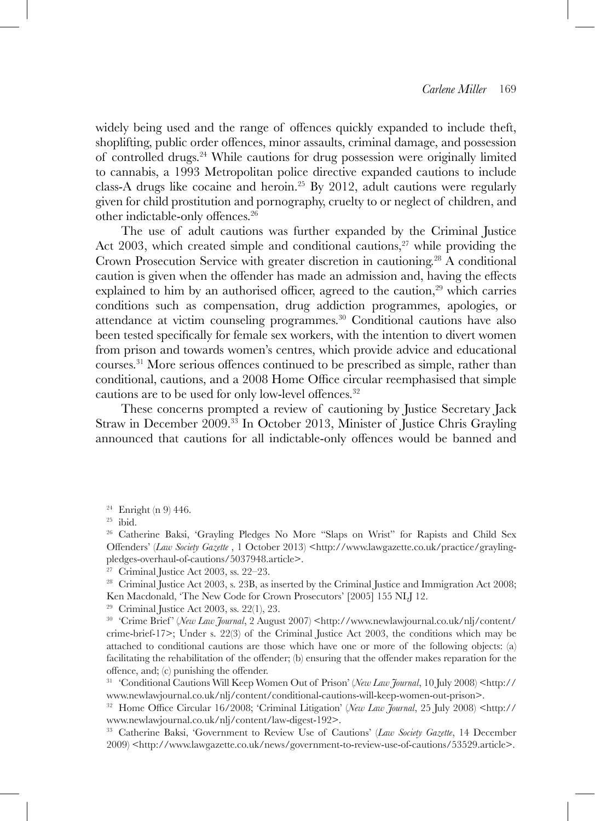widely being used and the range of offences quickly expanded to include theft, shoplifting, public order offences, minor assaults, criminal damage, and possession of controlled drugs.24 While cautions for drug possession were originally limited to cannabis, a 1993 Metropolitan police directive expanded cautions to include class-A drugs like cocaine and heroin.<sup>25</sup> By 2012, adult cautions were regularly given for child prostitution and pornography, cruelty to or neglect of children, and other indictable-only offences.<sup>26</sup>

The use of adult cautions was further expanded by the Criminal Justice Act 2003, which created simple and conditional cautions, $27$  while providing the Crown Prosecution Service with greater discretion in cautioning.<sup>28</sup> A conditional caution is given when the offender has made an admission and, having the effects explained to him by an authorised officer, agreed to the caution, $29$  which carries conditions such as compensation, drug addiction programmes, apologies, or attendance at victim counseling programmes.30 Conditional cautions have also been tested specifically for female sex workers, with the intention to divert women from prison and towards women's centres, which provide advice and educational courses.31 More serious offences continued to be prescribed as simple, rather than conditional, cautions, and a 2008 Home Office circular reemphasised that simple cautions are to be used for only low-level offences.<sup>32</sup>

These concerns prompted a review of cautioning by Justice Secretary Jack Straw in December 2009.33 In October 2013, Minister of Justice Chris Grayling announced that cautions for all indictable-only offences would be banned and

<sup>29</sup> Criminal Justice Act 2003, ss. 22(1), 23.

<sup>&</sup>lt;sup>24</sup> Enright (n 9) 446.<br><sup>25</sup> ibid.

<sup>26</sup> Catherine Baksi, 'Grayling Pledges No More "Slaps on Wrist" for Rapists and Child Sex Offenders' (Law Society Gazette, 1 October 2013) <http://www.lawgazette.co.uk/practice/graylingpledges-overhaul-of-cautions/5037948.article>.

<sup>&</sup>lt;sup>27</sup> Criminal Justice Act 2003, ss. 22–23.<br><sup>28</sup> Criminal Justice Act 2003, s. 23B, as inserted by the Criminal Justice and Immigration Act 2008; Ken Macdonald, 'The New Code for Crown Prosecutors' [2005] 155 NLJ 12.

<sup>&</sup>lt;sup>30</sup> 'Crime Brief' (*New Law Journal*, 2 August 2007) <http://www.newlawjournal.co.uk/nlj/content/ crime-brief-17>; Under s. 22(3) of the Criminal Justice Act 2003, the conditions which may be attached to conditional cautions are those which have one or more of the following objects: (a) facilitating the rehabilitation of the offender; (b) ensuring that the offender makes reparation for the offence, and; (c) punishing the offender.

<sup>&</sup>lt;sup>31</sup> 'Conditional Cautions Will Keep Women Out of Prison' (*New Law Journal*, 10 July 2008) <http:// www.newlawjournal.co.uk/nlj/content/conditional-cautions-will-keep-women-out-prison>.

<sup>&</sup>lt;sup>32</sup> Home Office Circular 16/2008; 'Criminal Litigation' (*New Law Journal*, 25 July 2008) <http:// www.newlawjournal.co.uk/nlj/content/law-digest-192>.

<sup>33</sup> Catherine Baksi, 'Government to Review Use of Cautions' (*Law Society Gazette*, 14 December 2009) <http://www.lawgazette.co.uk/news/government-to-review-use-of-cautions/53529.article>.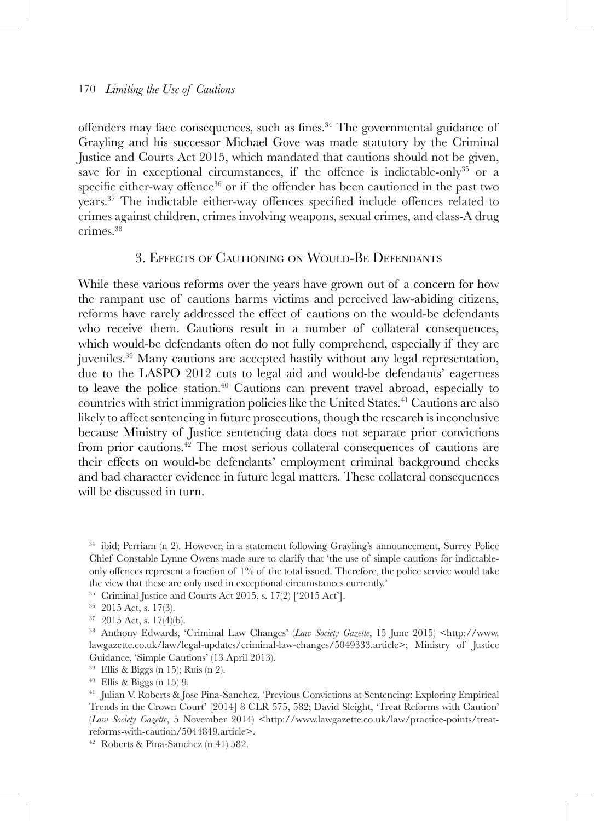offenders may face consequences, such as fines.<sup>34</sup> The governmental guidance of Grayling and his successor Michael Gove was made statutory by the Criminal Justice and Courts Act 2015, which mandated that cautions should not be given, save for in exceptional circumstances, if the offence is indictable-only<sup>35</sup> or a specific either-way offence<sup>36</sup> or if the offender has been cautioned in the past two years.37 The indictable either-way offences specified include offences related to crimes against children, crimes involving weapons, sexual crimes, and class-A drug crimes.38

## 3. Effects of Cautioning on Would-Be Defendants

While these various reforms over the years have grown out of a concern for how the rampant use of cautions harms victims and perceived law-abiding citizens, reforms have rarely addressed the effect of cautions on the would-be defendants who receive them. Cautions result in a number of collateral consequences, which would-be defendants often do not fully comprehend, especially if they are juveniles.39 Many cautions are accepted hastily without any legal representation, due to the LASPO 2012 cuts to legal aid and would-be defendants' eagerness to leave the police station.<sup>40</sup> Cautions can prevent travel abroad, especially to countries with strict immigration policies like the United States.41 Cautions are also likely to affect sentencing in future prosecutions, though the research is inconclusive because Ministry of Justice sentencing data does not separate prior convictions from prior cautions.42 The most serious collateral consequences of cautions are their effects on would-be defendants' employment criminal background checks and bad character evidence in future legal matters. These collateral consequences will be discussed in turn.

<sup>34</sup> ibid; Perriam (n 2). However, in a statement following Grayling's announcement, Surrey Police Chief Constable Lynne Owens made sure to clarify that 'the use of simple cautions for indictableonly offences represent a fraction of 1% of the total issued. Therefore, the police service would take the view that these are only used in exceptional circumstances currently.'

<sup>35</sup> Criminal Justice and Courts Act 2015, s. 17(2) ['2015 Act'].

- <sup>36</sup> 2015 Act, s. 17(3).
- <sup>37</sup> 2015 Act, s. 17(4)(b).

<sup>38</sup> Anthony Edwards, 'Criminal Law Changes' (*Law Society Gazette*, 15 June 2015) <http://www. lawgazette.co.uk/law/legal-updates/criminal-law-changes/5049333.article>; Ministry of Justice Guidance, 'Simple Cautions' (13 April 2013).

<sup>39</sup> Ellis & Biggs (n 15); Ruis (n 2).<br><sup>40</sup> Ellis & Biggs (n 15) 9.<br><sup>41</sup> Julian V. Roberts & Jose Pina-Sanchez, 'Previous Convictions at Sentencing: Exploring Empirical Trends in the Crown Court' [2014] 8 CLR 575, 582; David Sleight, 'Treat Reforms with Caution' (*Law Society Gazette*, 5 November 2014) <http://www.lawgazette.co.uk/law/practice-points/treatreforms-with-caution/5044849.article>.

<sup>42</sup> Roberts & Pina-Sanchez (n 41) 582.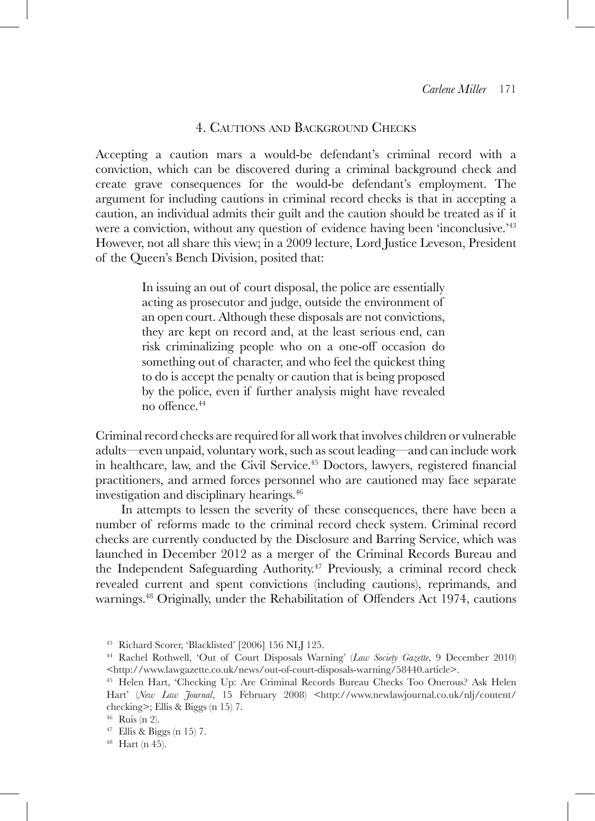## 4. Cautions and Background Checks

Accepting a caution mars a would-be defendant's criminal record with a conviction, which can be discovered during a criminal background check and create grave consequences for the would-be defendant's employment. The argument for including cautions in criminal record checks is that in accepting a caution, an individual admits their guilt and the caution should be treated as if it were a conviction, without any question of evidence having been 'inconclusive.'<sup>43</sup> However, not all share this view; in a 2009 lecture, Lord Justice Leveson, President of the Queen's Bench Division, posited that:

> In issuing an out of court disposal, the police are essentially acting as prosecutor and judge, outside the environment of an open court. Although these disposals are not convictions, they are kept on record and, at the least serious end, can risk criminalizing people who on a one-off occasion do something out of character, and who feel the quickest thing to do is accept the penalty or caution that is being proposed by the police, even if further analysis might have revealed no offence.<sup>44</sup>

Criminal record checks are required for all work that involves children or vulnerable adults—even unpaid, voluntary work, such as scout leading—and can include work in healthcare, law, and the Civil Service.<sup>45</sup> Doctors, lawyers, registered financial practitioners, and armed forces personnel who are cautioned may face separate investigation and disciplinary hearings.<sup>46</sup>

In attempts to lessen the severity of these consequences, there have been a number of reforms made to the criminal record check system. Criminal record checks are currently conducted by the Disclosure and Barring Service, which was launched in December 2012 as a merger of the Criminal Records Bureau and the Independent Safeguarding Authority.47 Previously, a criminal record check revealed current and spent convictions (including cautions), reprimands, and warnings.<sup>48</sup> Originally, under the Rehabilitation of Offenders Act 1974, cautions

<sup>43</sup> Richard Scorer, 'Blacklisted' [2006] 156 NLJ 125.

<sup>44</sup> Rachel Rothwell, 'Out of Court Disposals Warning' (*Law Society Gazette*, 9 December 2010) <http://www.lawgazette.co.uk/news/out-of-court-disposals-warning/58440.article>.

<sup>45</sup> Helen Hart, 'Checking Up: Are Criminal Records Bureau Checks Too Onerous? Ask Helen Hart' (*New Law Journal*, 15 February 2008) <http://www.newlawjournal.co.uk/nlj/content/ checking>; Ellis & Biggs (n 15) 7.

<sup>46</sup> Ruis (n 2).

 $^{47}$  Ellis & Biggs (n 15) 7.  $^{48}$  Hart (n 45).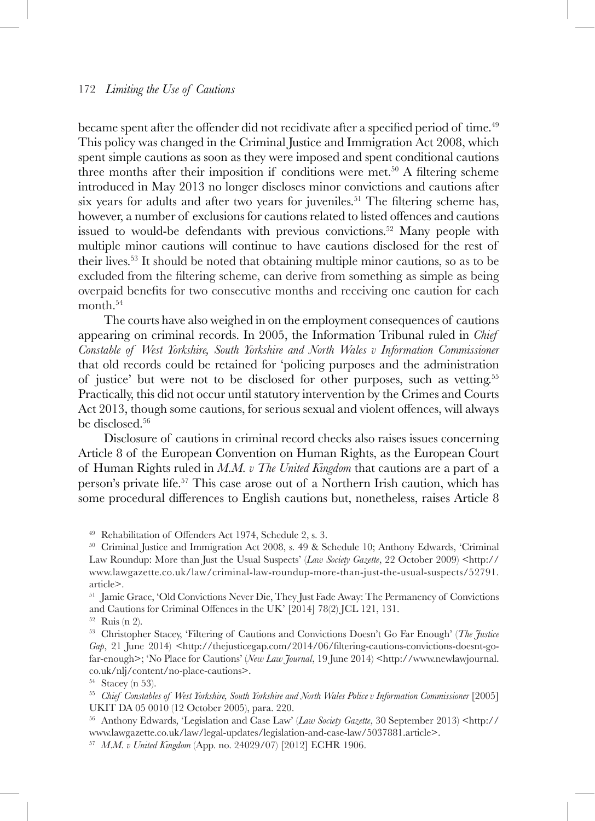became spent after the offender did not recidivate after a specified period of time.<sup>49</sup> This policy was changed in the Criminal Justice and Immigration Act 2008, which spent simple cautions as soon as they were imposed and spent conditional cautions three months after their imposition if conditions were met.50 A filtering scheme introduced in May 2013 no longer discloses minor convictions and cautions after six years for adults and after two years for juveniles.<sup>51</sup> The filtering scheme has, however, a number of exclusions for cautions related to listed offences and cautions issued to would-be defendants with previous convictions.<sup>52</sup> Many people with multiple minor cautions will continue to have cautions disclosed for the rest of their lives.53 It should be noted that obtaining multiple minor cautions, so as to be excluded from the filtering scheme, can derive from something as simple as being overpaid benefits for two consecutive months and receiving one caution for each month.<sup>54</sup>

The courts have also weighed in on the employment consequences of cautions appearing on criminal records. In 2005, the Information Tribunal ruled in *Chief Constable of West Yorkshire, South Yorkshire and North Wales v Information Commissioner* that old records could be retained for 'policing purposes and the administration of justice' but were not to be disclosed for other purposes, such as vetting.55 Practically, this did not occur until statutory intervention by the Crimes and Courts Act 2013, though some cautions, for serious sexual and violent offences, will always be disclosed.<sup>56</sup>

Disclosure of cautions in criminal record checks also raises issues concerning Article 8 of the European Convention on Human Rights, as the European Court of Human Rights ruled in *M.M. v The United Kingdom* that cautions are a part of a person's private life.57 This case arose out of a Northern Irish caution, which has some procedural differences to English cautions but, nonetheless, raises Article 8

<sup>49</sup> Rehabilitation of Offenders Act 1974, Schedule 2, s. 3.

<sup>50</sup> Criminal Justice and Immigration Act 2008, s. 49 & Schedule 10; Anthony Edwards, 'Criminal Law Roundup: More than Just the Usual Suspects' (*Law Society Gazette*, 22 October 2009) <http:// www.lawgazette.co.uk/law/criminal-law-roundup-more-than-just-the-usual-suspects/52791. article>.

<sup>51</sup> Jamie Grace, 'Old Convictions Never Die, They Just Fade Away: The Permanency of Convictions and Cautions for Criminal Offences in the UK' [2014] 78(2) JCL 121, 131.<br><sup>52</sup> Ruis (n 2).

<sup>53</sup> Christopher Stacey, 'Filtering of Cautions and Convictions Doesn't Go Far Enough' (*The Justice Gap*, 21 June 2014) <http://thejusticegap.com/2014/06/filtering-cautions-convictions-doesnt-gofar-enough>; 'No Place for Cautions' (*New Law Journal*, 19 June 2014) <http://www.newlawjournal. co.uk/nlj/content/no-place-cautions>.

<sup>55</sup> Chief Constables of West Yorkshire, South Yorkshire and North Wales Police v Information Commissioner [2005] UKIT DA 05 0010 (12 October 2005), para. 220.

<sup>56</sup> Anthony Edwards, 'Legislation and Case Law' (*Law Society Gazette*, 30 September 2013) <http:// www.lawgazette.co.uk/law/legal-updates/legislation-and-case-law/5037881.article>.

<sup>57</sup> *M*.*M. v United Kingdom* (App. no. 24029/07) [2012] ECHR 1906.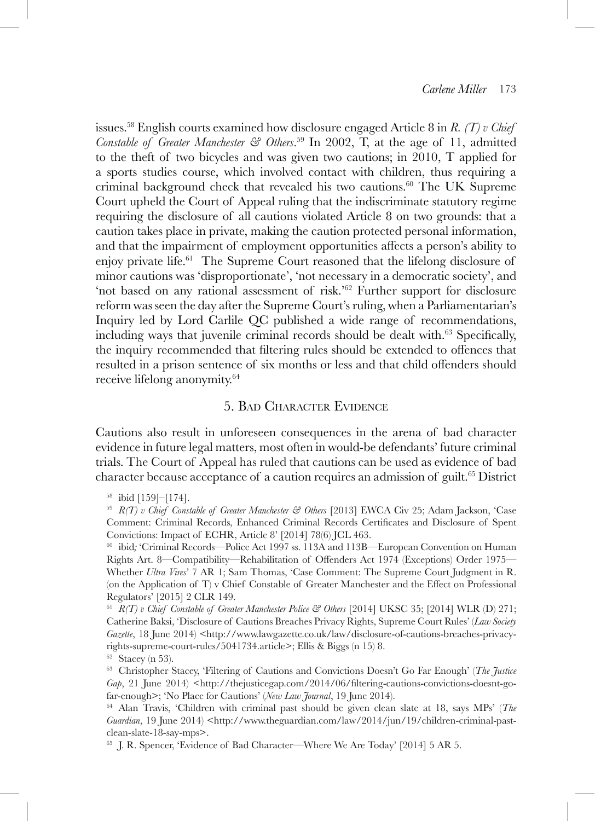issues.58 English courts examined how disclosure engaged Article 8 in *R. (T) v Chief Constable of Greater Manchester & Others*. <sup>59</sup> In 2002, T, at the age of 11, admitted to the theft of two bicycles and was given two cautions; in 2010, T applied for a sports studies course, which involved contact with children, thus requiring a criminal background check that revealed his two cautions.60 The UK Supreme Court upheld the Court of Appeal ruling that the indiscriminate statutory regime requiring the disclosure of all cautions violated Article 8 on two grounds: that a caution takes place in private, making the caution protected personal information, and that the impairment of employment opportunities affects a person's ability to enjoy private life.61 The Supreme Court reasoned that the lifelong disclosure of minor cautions was 'disproportionate', 'not necessary in a democratic society', and 'not based on any rational assessment of risk.'62 Further support for disclosure reform was seen the day after the Supreme Court's ruling, when a Parliamentarian's Inquiry led by Lord Carlile QC published a wide range of recommendations, including ways that juvenile criminal records should be dealt with.<sup>63</sup> Specifically, the inquiry recommended that filtering rules should be extended to offences that resulted in a prison sentence of six months or less and that child offenders should receive lifelong anonymity.64

# 5. Bad Character Evidence

Cautions also result in unforeseen consequences in the arena of bad character evidence in future legal matters, most often in would-be defendants' future criminal trials. The Court of Appeal has ruled that cautions can be used as evidence of bad character because acceptance of a caution requires an admission of guilt.<sup>65</sup> District

<sup>60</sup> ibid*;* 'Criminal Records—Police Act 1997 ss. 113A and 113B—European Convention on Human Rights Art. 8—Compatibility—Rehabilitation of Offenders Act 1974 (Exceptions) Order 1975— Whether *Ultra Vires*' 7 AR 1; Sam Thomas, 'Case Comment: The Supreme Court Judgment in R. (on the Application of T) v Chief Constable of Greater Manchester and the Effect on Professional Regulators' [2015] 2 CLR 149.

<sup>61</sup> *R(T) v Chief Constable of Greater Manchester Police & Others* [2014] UKSC 35; [2014] WLR (D) 271; Catherine Baksi, 'Disclosure of Cautions Breaches Privacy Rights, Supreme Court Rules' (*Law Society Gazette*, 18 June 2014) <http://www.lawgazette.co.uk/law/disclosure-of-cautions-breaches-privacyrights-supreme-court-rules/5041734.article>; Ellis & Biggs (n 15) 8.  $62$  Stacey (n 53).

<sup>63</sup> Christopher Stacey, 'Filtering of Cautions and Convictions Doesn't Go Far Enough' (*The Justice Gap*, 21 June 2014) <http://thejusticegap.com/2014/06/filtering-cautions-convictions-doesnt-gofar-enough>; 'No Place for Cautions' (*New Law Journal*, 19 June 2014).

<sup>64</sup> Alan Travis, 'Children with criminal past should be given clean slate at 18, says MPs' (*The*  Guardian, 19 June 2014) <http://www.theguardian.com/law/2014/jun/19/children-criminal-pastclean-slate-18-say-mps>.

<sup>65</sup> J. R. Spencer, 'Evidence of Bad Character—Where We Are Today' [2014] 5 AR 5.

<sup>58</sup> ibid [159]–[174].

<sup>59</sup> *R(T) v Chief Constable of Greater Manchester & Others* [2013] EWCA Civ 25; Adam Jackson, 'Case Comment: Criminal Records, Enhanced Criminal Records Certificates and Disclosure of Spent Convictions: Impact of ECHR, Article 8' [2014] 78(6) JCL 463.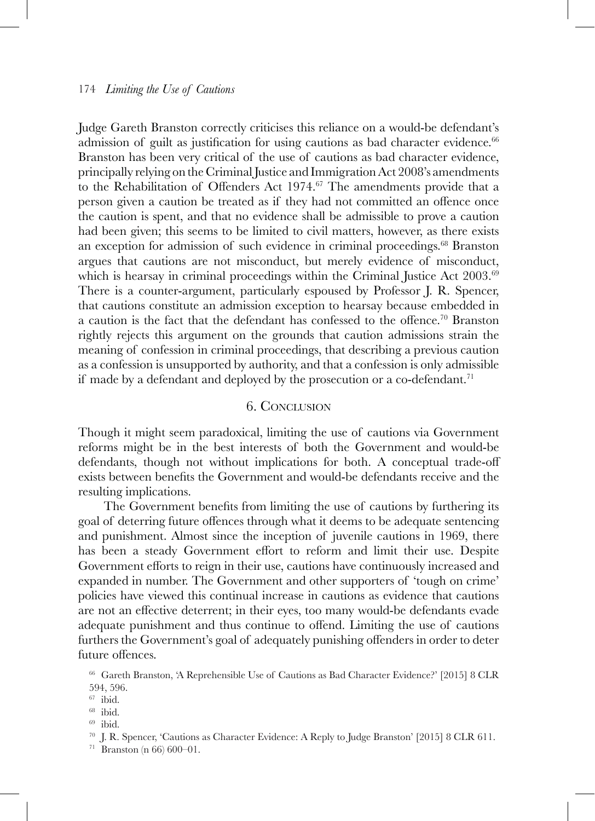Judge Gareth Branston correctly criticises this reliance on a would-be defendant's admission of guilt as justification for using cautions as bad character evidence.<sup>66</sup> Branston has been very critical of the use of cautions as bad character evidence, principally relying on the Criminal Justice and Immigration Act 2008's amendments to the Rehabilitation of Offenders Act  $1974$ .<sup>67</sup> The amendments provide that a person given a caution be treated as if they had not committed an offence once the caution is spent, and that no evidence shall be admissible to prove a caution had been given; this seems to be limited to civil matters, however, as there exists an exception for admission of such evidence in criminal proceedings.<sup>68</sup> Branston argues that cautions are not misconduct, but merely evidence of misconduct, which is hearsay in criminal proceedings within the Criminal Justice Act 2003.<sup>69</sup> There is a counter-argument, particularly espoused by Professor J. R. Spencer, that cautions constitute an admission exception to hearsay because embedded in a caution is the fact that the defendant has confessed to the offence.<sup>70</sup> Branston rightly rejects this argument on the grounds that caution admissions strain the meaning of confession in criminal proceedings, that describing a previous caution as a confession is unsupported by authority, and that a confession is only admissible if made by a defendant and deployed by the prosecution or a co-defendant.<sup>71</sup>

## 6. Conclusion

Though it might seem paradoxical, limiting the use of cautions via Government reforms might be in the best interests of both the Government and would-be defendants, though not without implications for both. A conceptual trade-off exists between benefits the Government and would-be defendants receive and the resulting implications.

The Government benefits from limiting the use of cautions by furthering its goal of deterring future offences through what it deems to be adequate sentencing and punishment. Almost since the inception of juvenile cautions in 1969, there has been a steady Government effort to reform and limit their use. Despite Government efforts to reign in their use, cautions have continuously increased and expanded in number. The Government and other supporters of 'tough on crime' policies have viewed this continual increase in cautions as evidence that cautions are not an effective deterrent; in their eyes, too many would-be defendants evade adequate punishment and thus continue to offend. Limiting the use of cautions furthers the Government's goal of adequately punishing offenders in order to deter future offences.

<sup>66</sup> Gareth Branston, 'A Reprehensible Use of Cautions as Bad Character Evidence?' [2015] 8 CLR 594, 596.

 $^{67}$ ibid.

<sup>68</sup> ibid.

<sup>69</sup> ibid.

 $^{70}$ J. R. Spencer, 'Cautions as Character Evidence: A Reply to Judge Branston' [2015] 8 CLR 611.  $^{71}$  Branston (n 66) 600–01.